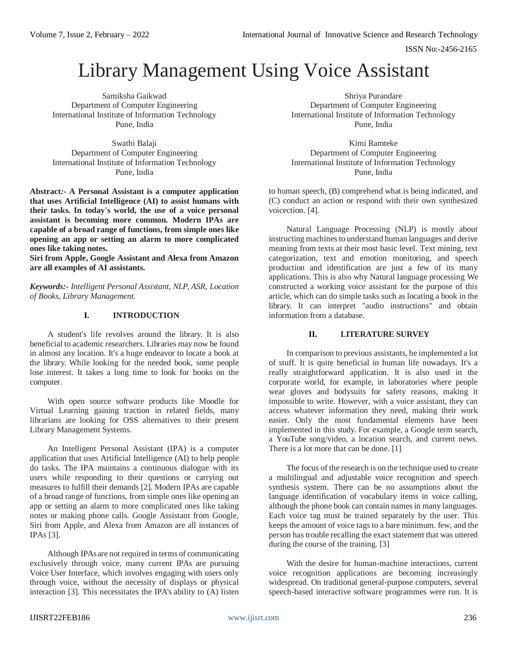ISSN No:-2456-2165

# Library Management Using Voice Assistant

Samiksha Gaikwad Department of Computer Engineering International Institute of Information Technology Pune, India

Swathi Balaji Department of Computer Engineering International Institute of Information Technology Pune, India

**Abstract***:-* **A Personal Assistant is a computer application that uses Artificial Intelligence (AI) to assist humans with their tasks. In today's world, the use of a voice personal assistant is becoming more common. Modern IPAs are capable of a broad range of functions, from simple ones like opening an app or setting an alarm to more complicated ones like taking notes.**

**Siri from Apple, Google Assistant and Alexa from Amazon are all examples of AI assistants.**

*Keywords:- Intelligent Personal Assistant, NLP, ASR, Location of Books, Library Management.*

## **I. INTRODUCTION**

A student's life revolves around the library. It is also beneficial to academic researchers. Libraries may now be found in almost any location. It's a huge endeavor to locate a book at the library. While looking for the needed book, some people lose interest. It takes a long time to look for books on the computer.

With open source software products like Moodle for Virtual Learning gaining traction in related fields, many librarians are looking for OSS alternatives to their present Library Management Systems.

An Intelligent Personal Assistant (IPA) is a computer application that uses Artificial Intelligence (AI) to help people do tasks. The IPA maintains a continuous dialogue with its users while responding to their questions or carrying out measures to fulfill their demands [2]. Modern IPAs are capable of a broad range of functions, from simple ones like opening an app or setting an alarm to more complicated ones like taking notes or making phone calls. Google Assistant from Google, Siri from Apple, and Alexa from Amazon are all instances of IPAs [3].

Although IPAs are not required in terms of communicating exclusively through voice, many current IPAs are pursuing Voice User Interface, which involves engaging with users only through voice, without the necessity of displays or physical interaction [3]. This necessitates the IPA's ability to (A) listen

Shriya Purandare Department of Computer Engineering International Institute of Information Technology Pune, India

Kimi Ramteke Department of Computer Engineering International Institute of Information Technology Pune, India

to human speech, (B) comprehend what is being indicated, and (C) conduct an action or respond with their own synthesized voicection. [4].

Natural Language Processing (NLP) is mostly about instructing machines to understand human languages and derive meaning from texts at their most basic level. Text mining, text categorization, text and emotion monitoring, and speech production and identification are just a few of its many applications. This is also why Natural language processing We constructed a working voice assistant for the purpose of this article, which can do simple tasks such as locating a book in the library. It can interpret "audio instructions" and obtain information from a database.

## **II. LITERATURE SURVEY**

In comparison to previous assistants, he implemented a lot of stuff. It is quite beneficial in human life nowadays. It's a really straightforward application. It is also used in the corporate world, for example, in laboratories where people wear gloves and bodysuits for safety reasons, making it impossible to write. However, with a voice assistant, they can access whatever information they need, making their work easier. Only the most fundamental elements have been implemented in this study. For example, a Google term search, a YouTube song/video, a location search, and current news. There is a lot more that can be done. [1]

The focus of the research is on the technique used to create a multilingual and adjustable voice recognition and speech synthesis system. There can be no assumptions about the language identification of vocabulary items in voice calling, although the phone book can contain names in many languages. Each voice tag must be trained separately by the user. This keeps the amount of voice tags to a bare minimum. few, and the person has trouble recalling the exact statement that was uttered during the course of the training. [3]

With the desire for human-machine interactions, current voice recognition applications are becoming increasingly widespread. On traditional general-purpose computers, several speech-based interactive software programmes were run. It is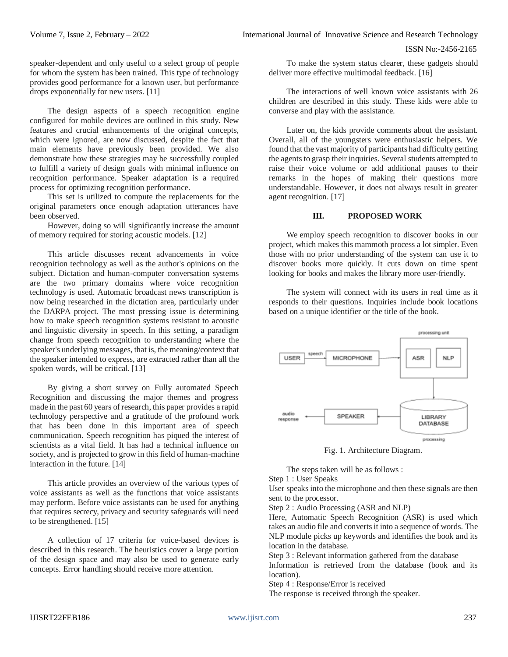speaker-dependent and only useful to a select group of people for whom the system has been trained. This type of technology provides good performance for a known user, but performance drops exponentially for new users. [11]

The design aspects of a speech recognition engine configured for mobile devices are outlined in this study. New features and crucial enhancements of the original concepts, which were ignored, are now discussed, despite the fact that main elements have previously been provided. We also demonstrate how these strategies may be successfully coupled to fulfill a variety of design goals with minimal influence on recognition performance. Speaker adaptation is a required process for optimizing recognition performance.

This set is utilized to compute the replacements for the original parameters once enough adaptation utterances have been observed.

However, doing so will significantly increase the amount of memory required for storing acoustic models. [12]

This article discusses recent advancements in voice recognition technology as well as the author's opinions on the subject. Dictation and human-computer conversation systems are the two primary domains where voice recognition technology is used. Automatic broadcast news transcription is now being researched in the dictation area, particularly under the DARPA project. The most pressing issue is determining how to make speech recognition systems resistant to acoustic and linguistic diversity in speech. In this setting, a paradigm change from speech recognition to understanding where the speaker's underlying messages, that is, the meaning/context that the speaker intended to express, are extracted rather than all the spoken words, will be critical. [13]

By giving a short survey on Fully automated Speech Recognition and discussing the major themes and progress made in the past 60 years of research, this paper provides a rapid technology perspective and a gratitude of the profound work that has been done in this important area of speech communication. Speech recognition has piqued the interest of scientists as a vital field. It has had a technical influence on society, and is projected to grow in this field of human-machine interaction in the future. [14]

This article provides an overview of the various types of voice assistants as well as the functions that voice assistants may perform. Before voice assistants can be used for anything that requires secrecy, privacy and security safeguards will need to be strengthened. [15]

A collection of 17 criteria for voice-based devices is described in this research. The heuristics cover a large portion of the design space and may also be used to generate early concepts. Error handling should receive more attention.

To make the system status clearer, these gadgets should deliver more effective multimodal feedback. [16]

The interactions of well known voice assistants with 26 children are described in this study. These kids were able to converse and play with the assistance.

Later on, the kids provide comments about the assistant. Overall, all of the youngsters were enthusiastic helpers. We found that the vast majority of participants had difficulty getting the agents to grasp their inquiries. Several students attempted to raise their voice volume or add additional pauses to their remarks in the hopes of making their questions more understandable. However, it does not always result in greater agent recognition. [17]

## **III. PROPOSED WORK**

We employ speech recognition to discover books in our project, which makes this mammoth process a lot simpler. Even those with no prior understanding of the system can use it to discover books more quickly. It cuts down on time spent looking for books and makes the library more user-friendly.

The system will connect with its users in real time as it responds to their questions. Inquiries include book locations based on a unique identifier or the title of the book.



Fig. 1. Architecture Diagram.

The steps taken will be as follows :

Step 1 : User Speaks

User speaks into the microphone and then these signals are then sent to the processor.

Step 2 : Audio Processing (ASR and NLP)

Here, Automatic Speech Recognition (ASR) is used which takes an audio file and converts it into a sequence of words. The NLP module picks up keywords and identifies the book and its location in the database.

Step 3 : Relevant information gathered from the database

Information is retrieved from the database (book and its location).

Step 4 : Response/Error is received

The response is received through the speaker.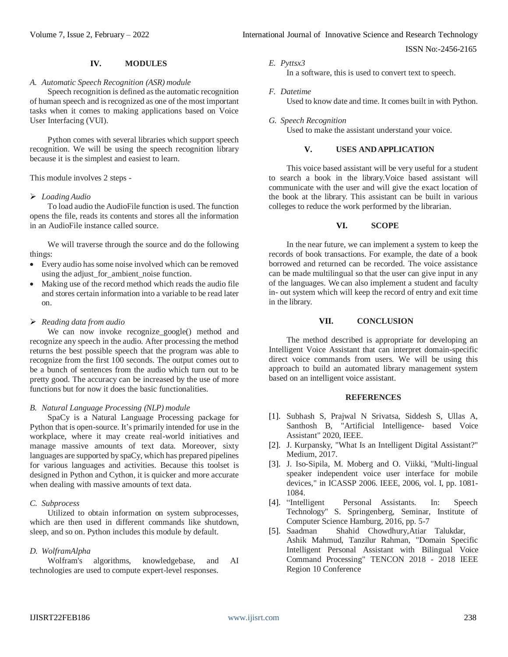ISSN No:-2456-2165

# **IV. MODULES**

#### *A. Automatic Speech Recognition (ASR) module*

Speech recognition is defined as the automatic recognition of human speech and is recognized as one of the most important tasks when it comes to making applications based on Voice User Interfacing (VUI).

Python comes with several libraries which support speech recognition. We will be using the speech recognition library because it is the simplest and easiest to learn.

This module involves 2 steps -

## *Loading Audio*

To load audio the AudioFile function is used. The function opens the file, reads its contents and stores all the information in an AudioFile instance called source.

We will traverse through the source and do the following things:

- Every audio has some noise involved which can be removed using the adjust\_for\_ambient\_noise function.
- Making use of the record method which reads the audio file and stores certain information into a variable to be read later on.

## *Reading data from audio*

We can now invoke recognize\_google() method and recognize any speech in the audio. After processing the method returns the best possible speech that the program was able to recognize from the first 100 seconds. The output comes out to be a bunch of sentences from the audio which turn out to be pretty good. The accuracy can be increased by the use of more functions but for now it does the basic functionalities.

#### *B. Natural Language Processing (NLP) module*

SpaCy is a Natural Language Processing package for Python that is open-source. It's primarily intended for use in the workplace, where it may create real-world initiatives and manage massive amounts of text data. Moreover, sixty languages are supported by spaCy, which has prepared pipelines for various languages and activities. Because this toolset is designed in Python and Cython, it is quicker and more accurate when dealing with massive amounts of text data.

#### *C. Subprocess*

Utilized to obtain information on system subprocesses, which are then used in different commands like shutdown, sleep, and so on. Python includes this module by default.

#### *D. WolframAlpha*

Wolfram's algorithms, knowledgebase, and AI technologies are used to compute expert-level responses.

#### *E. Pyttsx3*

In a software, this is used to convert text to speech.

- *F. Datetime* Used to know date and time. It comes built in with Python.
- *G. Speech Recognition* Used to make the assistant understand your voice.

## **V. USES ANDAPPLICATION**

This voice based assistant will be very useful for a student to search a book in the library.Voice based assistant will communicate with the user and will give the exact location of the book at the library. This assistant can be built in various colleges to reduce the work performed by the librarian.

# **VI. SCOPE**

In the near future, we can implement a system to keep the records of book transactions. For example, the date of a book borrowed and returned can be recorded. The voice assistance can be made multilingual so that the user can give input in any of the languages. We can also implement a student and faculty in- out system which will keep the record of entry and exit time in the library.

## **VII. CONCLUSION**

The method described is appropriate for developing an Intelligent Voice Assistant that can interpret domain-specific direct voice commands from users. We will be using this approach to build an automated library management system based on an intelligent voice assistant.

#### **REFERENCES**

- [1]. Subhash S, Prajwal N Srivatsa, Siddesh S, Ullas A, Santhosh B, "Artificial Intelligence- based Voice Assistant" 2020, IEEE.
- [2]. J. Kurpansky, "What Is an Intelligent Digital Assistant?" Medium, 2017.
- [3]. J. Iso-Sipila, M. Moberg and O. Viikki, "Multi-lingual speaker independent voice user interface for mobile devices," in ICASSP 2006. IEEE, 2006, vol. I, pp. 1081- 1084.
- [4]. "Intelligent Personal Assistants. In: Speech Technology" S. Springenberg, Seminar, Institute of Computer Science Hamburg, 2016, pp. 5-7
- [5]. Saadman Shahid Chowdhury,Atiar Talukdar, Ashik Mahmud, Tanzilur Rahman, "Domain Specific Intelligent Personal Assistant with Bilingual Voice Command Processing" [TENCON 2018 -](https://ieeexplore.ieee.org/xpl/conhome/8643125/proceeding) 2018 IEE[E](https://ieeexplore.ieee.org/xpl/conhome/8643125/proceeding) Region 10 [Conference](https://ieeexplore.ieee.org/xpl/conhome/8643125/proceeding)